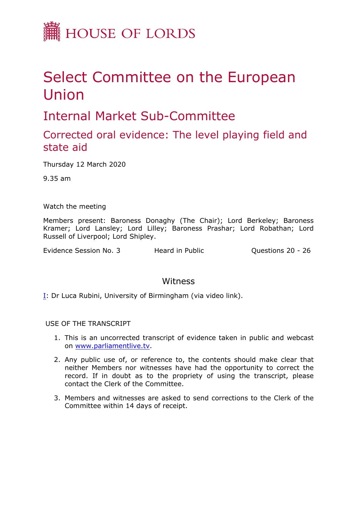

# Select Committee on the European Union

Internal Market Sub-Committee

## Corrected oral evidence: The level playing field and state aid

Thursday 12 March 2020

9.35 am

Watch the meeting

Members present: Baroness Donaghy (The Chair); Lord Berkeley; Baroness Kramer; Lord Lansley; Lord Lilley; Baroness Prashar; Lord Robathan; Lord Russell of Liverpool; Lord Shipley.

Evidence Session No. 3 Theard in Public Connections 20 - 26

#### **Witness**

[I:](#page-1-0) Dr Luca Rubini, University of Birmingham (via video link).

USE OF THE TRANSCRIPT

- 1. This is an uncorrected transcript of evidence taken in public and webcast on [www.parliamentlive.tv.](http://www.parliamentlive.tv/)
- 2. Any public use of, or reference to, the contents should make clear that neither Members nor witnesses have had the opportunity to correct the record. If in doubt as to the propriety of using the transcript, please contact the Clerk of the Committee.
- 3. Members and witnesses are asked to send corrections to the Clerk of the Committee within 14 days of receipt.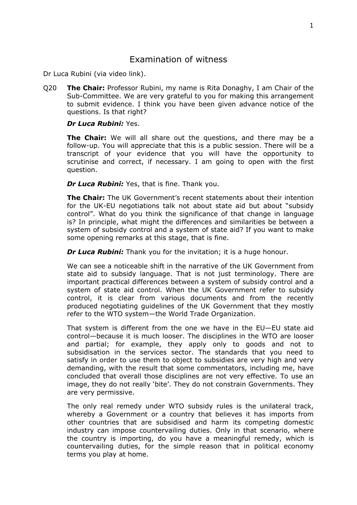### <span id="page-1-0"></span>Examination of witness

Dr Luca Rubini (via video link).

Q20 **The Chair:** Professor Rubini, my name is Rita Donaghy, I am Chair of the Sub-Committee. We are very grateful to you for making this arrangement to submit evidence. I think you have been given advance notice of the questions. Is that right?

#### *Dr Luca Rubini:* Yes.

**The Chair:** We will all share out the questions, and there may be a follow-up. You will appreciate that this is a public session. There will be a transcript of your evidence that you will have the opportunity to scrutinise and correct, if necessary. I am going to open with the first question.

*Dr Luca Rubini:* Yes, that is fine. Thank you.

**The Chair:** The UK Government's recent statements about their intention for the UK-EU negotiations talk not about state aid but about "subsidy control". What do you think the significance of that change in language is? In principle, what might the differences and similarities be between a system of subsidy control and a system of state aid? If you want to make some opening remarks at this stage, that is fine.

*Dr Luca Rubini:* Thank you for the invitation; it is a huge honour.

We can see a noticeable shift in the narrative of the UK Government from state aid to subsidy language. That is not just terminology. There are important practical differences between a system of subsidy control and a system of state aid control. When the UK Government refer to subsidy control, it is clear from various documents and from the recently produced negotiating guidelines of the UK Government that they mostly refer to the WTO system—the World Trade Organization.

That system is different from the one we have in the EU—EU state aid control—because it is much looser. The disciplines in the WTO are looser and partial; for example, they apply only to goods and not to subsidisation in the services sector. The standards that you need to satisfy in order to use them to object to subsidies are very high and very demanding, with the result that some commentators, including me, have concluded that overall those disciplines are not very effective. To use an image, they do not really 'bite'. They do not constrain Governments. They are very permissive.

The only real remedy under WTO subsidy rules is the unilateral track, whereby a Government or a country that believes it has imports from other countries that are subsidised and harm its competing domestic industry can impose countervailing duties. Only in that scenario, where the country is importing, do you have a meaningful remedy, which is countervailing duties, for the simple reason that in political economy terms you play at home.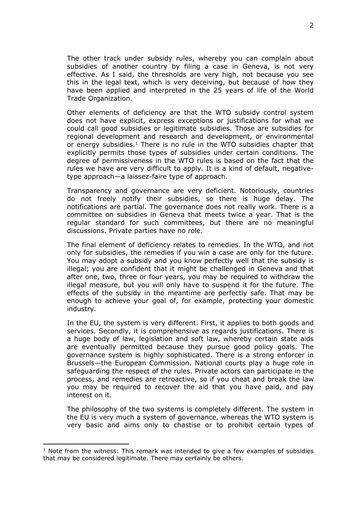The other track under subsidy rules, whereby you can complain about subsidies of another country by filing a case in Geneva, is not very effective. As I said, the thresholds are very high, not because you see this in the legal text, which is very deceiving, but because of how they have been applied and interpreted in the 25 years of life of the World Trade Organization.

Other elements of deficiency are that the WTO subsidy control system does not have explicit, express exceptions or justifications for what we could call good subsidies or legitimate subsidies. Those are subsidies for regional development and research and development, or environmental or energy subsidies. $1$  There is no rule in the WTO subsidies chapter that explicitly permits those types of subsidies under certain conditions. The degree of permissiveness in the WTO rules is based on the fact that the rules we have are very difficult to apply. It is a kind of default, negativetype approach—a laissez-faire type of approach.

Transparency and governance are very deficient. Notoriously, countries do not freely notify their subsidies, so there is huge delay. The notifications are partial. The governance does not really work. There is a committee on subsidies in Geneva that meets twice a year. That is the regular standard for such committees, but there are no meaningful discussions. Private parties have no role.

The final element of deficiency relates to remedies. In the WTO, and not only for subsidies, the remedies if you win a case are only for the future. You may adopt a subsidy and you know perfectly well that the subsidy is illegal; you are confident that it might be challenged in Geneva and that after one, two, three or four years, you may be required to withdraw the illegal measure, but you will only have to suspend it for the future. The effects of the subsidy in the meantime are perfectly safe. That may be enough to achieve your goal of, for example, protecting your domestic industry.

In the EU, the system is very different. First, it applies to both goods and services. Secondly, it is comprehensive as regards justifications. There is a huge body of law, legislation and soft law, whereby certain state aids are eventually permitted because they pursue good policy goals. The governance system is highly sophisticated. There is a strong enforcer in Brussels—the European Commission. National courts play a huge role in safeguarding the respect of the rules. Private actors can participate in the process, and remedies are retroactive, so if you cheat and break the law you may be required to recover the aid that you have paid, and pay interest on it.

The philosophy of the two systems is completely different. The system in the EU is very much a system of governance, whereas the WTO system is very basic and aims only to chastise or to prohibit certain types of

 $<sup>1</sup>$  Note from the witness: This remark was intended to give a few examples of subsidies</sup> that may be considered legitimate. There may certainly be others.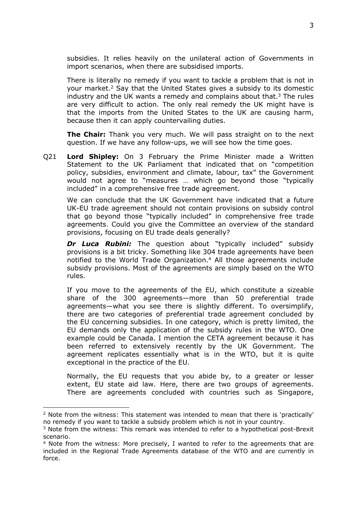subsidies. It relies heavily on the unilateral action of Governments in import scenarios, when there are subsidised imports.

There is literally no remedy if you want to tackle a problem that is not in your market.<sup>2</sup> Say that the United States gives a subsidy to its domestic industry and the UK wants a remedy and complains about that. $3$  The rules are very difficult to action. The only real remedy the UK might have is that the imports from the United States to the UK are causing harm, because then it can apply countervailing duties.

**The Chair:** Thank you very much. We will pass straight on to the next question. If we have any follow-ups, we will see how the time goes.

Q21 **Lord Shipley:** On 3 February the Prime Minister made a Written Statement to the UK Parliament that indicated that on "competition policy, subsidies, environment and climate, labour, tax" the Government would not agree to "measures … which go beyond those "typically included" in a comprehensive free trade agreement.

We can conclude that the UK Government have indicated that a future UK-EU trade agreement should not contain provisions on subsidy control that go beyond those "typically included" in comprehensive free trade agreements. Could you give the Committee an overview of the standard provisions, focusing on EU trade deals generally?

*Dr Luca Rubini:* The question about "typically included" subsidy provisions is a bit tricky. Something like 304 trade agreements have been notified to the World Trade Organization.<sup>4</sup> All those agreements include subsidy provisions. Most of the agreements are simply based on the WTO rules.

If you move to the agreements of the EU, which constitute a sizeable share of the 300 agreements—more than 50 preferential trade agreements—what you see there is slightly different. To oversimplify, there are two categories of preferential trade agreement concluded by the EU concerning subsidies. In one category, which is pretty limited, the EU demands only the application of the subsidy rules in the WTO. One example could be Canada. I mention the CETA agreement because it has been referred to extensively recently by the UK Government. The agreement replicates essentially what is in the WTO, but it is quite exceptional in the practice of the EU.

Normally, the EU requests that you abide by, to a greater or lesser extent, EU state aid law. Here, there are two groups of agreements. There are agreements concluded with countries such as Singapore,

<sup>&</sup>lt;sup>2</sup> Note from the witness: This statement was intended to mean that there is 'practically' no remedy if you want to tackle a subsidy problem which is not in your country.

<sup>&</sup>lt;sup>3</sup> Note from the witness: This remark was intended to refer to a hypothetical post-Brexit scenario.

<sup>4</sup> Note from the witness: More precisely, I wanted to refer to the agreements that are included in the Regional Trade Agreements database of the WTO and are currently in force.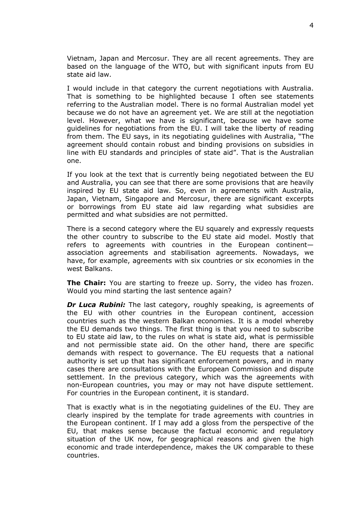Vietnam, Japan and Mercosur. They are all recent agreements. They are based on the language of the WTO, but with significant inputs from EU state aid law.

I would include in that category the current negotiations with Australia. That is something to be highlighted because I often see statements referring to the Australian model. There is no formal Australian model yet because we do not have an agreement yet. We are still at the negotiation level. However, what we have is significant, because we have some guidelines for negotiations from the EU. I will take the liberty of reading from them. The EU says, in its negotiating guidelines with Australia, "The agreement should contain robust and binding provisions on subsidies in line with EU standards and principles of state aid". That is the Australian one.

If you look at the text that is currently being negotiated between the EU and Australia, you can see that there are some provisions that are heavily inspired by EU state aid law. So, even in agreements with Australia, Japan, Vietnam, Singapore and Mercosur, there are significant excerpts or borrowings from EU state aid law regarding what subsidies are permitted and what subsidies are not permitted.

There is a second category where the EU squarely and expressly requests the other country to subscribe to the EU state aid model. Mostly that refers to agreements with countries in the European continent association agreements and stabilisation agreements. Nowadays, we have, for example, agreements with six countries or six economies in the west Balkans.

**The Chair:** You are starting to freeze up. Sorry, the video has frozen. Would you mind starting the last sentence again?

*Dr Luca Rubini:* The last category, roughly speaking, is agreements of the EU with other countries in the European continent, accession countries such as the western Balkan economies. It is a model whereby the EU demands two things. The first thing is that you need to subscribe to EU state aid law, to the rules on what is state aid, what is permissible and not permissible state aid. On the other hand, there are specific demands with respect to governance. The EU requests that a national authority is set up that has significant enforcement powers, and in many cases there are consultations with the European Commission and dispute settlement. In the previous category, which was the agreements with non-European countries, you may or may not have dispute settlement. For countries in the European continent, it is standard.

That is exactly what is in the negotiating guidelines of the EU. They are clearly inspired by the template for trade agreements with countries in the European continent. If I may add a gloss from the perspective of the EU, that makes sense because the factual economic and regulatory situation of the UK now, for geographical reasons and given the high economic and trade interdependence, makes the UK comparable to these countries.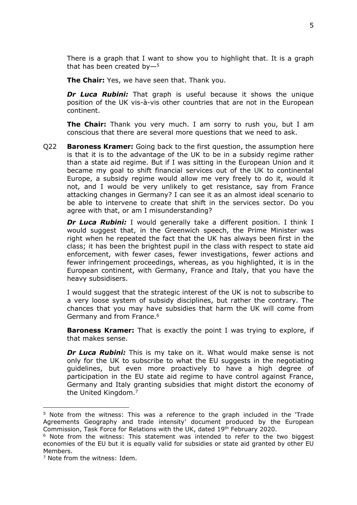There is a graph that I want to show you to highlight that. It is a graph that has been created by $-5$ 

**The Chair:** Yes, we have seen that. Thank you.

*Dr Luca Rubini:* That graph is useful because it shows the unique position of the UK vis-à-vis other countries that are not in the European continent.

**The Chair:** Thank you very much. I am sorry to rush you, but I am conscious that there are several more questions that we need to ask.

Q22 **Baroness Kramer:** Going back to the first question, the assumption here is that it is to the advantage of the UK to be in a subsidy regime rather than a state aid regime. But if I was sitting in the European Union and it became my goal to shift financial services out of the UK to continental Europe, a subsidy regime would allow me very freely to do it, would it not, and I would be very unlikely to get resistance, say from France attacking changes in Germany? I can see it as an almost ideal scenario to be able to intervene to create that shift in the services sector. Do you agree with that, or am I misunderstanding?

*Dr Luca Rubini:* I would generally take a different position. I think I would suggest that, in the Greenwich speech, the Prime Minister was right when he repeated the fact that the UK has always been first in the class; it has been the brightest pupil in the class with respect to state aid enforcement, with fewer cases, fewer investigations, fewer actions and fewer infringement proceedings, whereas, as you highlighted, it is in the European continent, with Germany, France and Italy, that you have the heavy subsidisers.

I would suggest that the strategic interest of the UK is not to subscribe to a very loose system of subsidy disciplines, but rather the contrary. The chances that you may have subsidies that harm the UK will come from Germany and from France.<sup>6</sup>

**Baroness Kramer:** That is exactly the point I was trying to explore, if that makes sense.

*Dr Luca Rubini:* This is my take on it. What would make sense is not only for the UK to subscribe to what the EU suggests in the negotiating guidelines, but even more proactively to have a high degree of participation in the EU state aid regime to have control against France, Germany and Italy granting subsidies that might distort the economy of the United Kingdom.<sup>7</sup>

<sup>&</sup>lt;sup>5</sup> Note from the witness: This was a reference to the graph included in the 'Trade Agreements Geography and trade intensity' document produced by the European Commission, Task Force for Relations with the UK, dated 19th February 2020.

<sup>6</sup> Note from the witness: This statement was intended to refer to the two biggest economies of the EU but it is equally valid for subsidies or state aid granted by other EU Members.

<sup>7</sup> Note from the witness: Idem.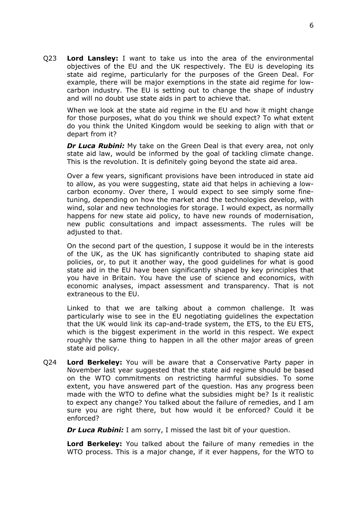Q23 **Lord Lansley:** I want to take us into the area of the environmental objectives of the EU and the UK respectively. The EU is developing its state aid regime, particularly for the purposes of the Green Deal. For example, there will be major exemptions in the state aid regime for lowcarbon industry. The EU is setting out to change the shape of industry and will no doubt use state aids in part to achieve that.

When we look at the state aid regime in the EU and how it might change for those purposes, what do you think we should expect? To what extent do you think the United Kingdom would be seeking to align with that or depart from it?

*Dr Luca Rubini:* My take on the Green Deal is that every area, not only state aid law, would be informed by the goal of tackling climate change. This is the revolution. It is definitely going beyond the state aid area.

Over a few years, significant provisions have been introduced in state aid to allow, as you were suggesting, state aid that helps in achieving a lowcarbon economy. Over there, I would expect to see simply some finetuning, depending on how the market and the technologies develop, with wind, solar and new technologies for storage. I would expect, as normally happens for new state aid policy, to have new rounds of modernisation, new public consultations and impact assessments. The rules will be adjusted to that.

On the second part of the question, I suppose it would be in the interests of the UK, as the UK has significantly contributed to shaping state aid policies, or, to put it another way, the good guidelines for what is good state aid in the EU have been significantly shaped by key principles that you have in Britain. You have the use of science and economics, with economic analyses, impact assessment and transparency. That is not extraneous to the EU.

Linked to that we are talking about a common challenge. It was particularly wise to see in the EU negotiating guidelines the expectation that the UK would link its cap-and-trade system, the ETS, to the EU ETS, which is the biggest experiment in the world in this respect. We expect roughly the same thing to happen in all the other major areas of green state aid policy.

Q24 **Lord Berkeley:** You will be aware that a Conservative Party paper in November last year suggested that the state aid regime should be based on the WTO commitments on restricting harmful subsidies. To some extent, you have answered part of the question. Has any progress been made with the WTO to define what the subsidies might be? Is it realistic to expect any change? You talked about the failure of remedies, and I am sure you are right there, but how would it be enforced? Could it be enforced?

*Dr Luca Rubini:* I am sorry, I missed the last bit of your question.

**Lord Berkeley:** You talked about the failure of many remedies in the WTO process. This is a major change, if it ever happens, for the WTO to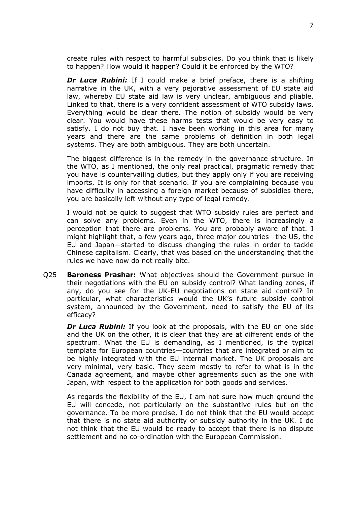create rules with respect to harmful subsidies. Do you think that is likely to happen? How would it happen? Could it be enforced by the WTO?

*Dr Luca Rubini:* If I could make a brief preface, there is a shifting narrative in the UK, with a very pejorative assessment of EU state aid law, whereby EU state aid law is very unclear, ambiguous and pliable. Linked to that, there is a very confident assessment of WTO subsidy laws. Everything would be clear there. The notion of subsidy would be very clear. You would have these harms tests that would be very easy to satisfy. I do not buy that. I have been working in this area for many years and there are the same problems of definition in both legal systems. They are both ambiguous. They are both uncertain.

The biggest difference is in the remedy in the governance structure. In the WTO, as I mentioned, the only real practical, pragmatic remedy that you have is countervailing duties, but they apply only if you are receiving imports. It is only for that scenario. If you are complaining because you have difficulty in accessing a foreign market because of subsidies there, you are basically left without any type of legal remedy.

I would not be quick to suggest that WTO subsidy rules are perfect and can solve any problems. Even in the WTO, there is increasingly a perception that there are problems. You are probably aware of that. I might highlight that, a few years ago, three major countries—the US, the EU and Japan—started to discuss changing the rules in order to tackle Chinese capitalism. Clearly, that was based on the understanding that the rules we have now do not really bite.

Q25 **Baroness Prashar:** What objectives should the Government pursue in their negotiations with the EU on subsidy control? What landing zones, if any, do you see for the UK-EU negotiations on state aid control? In particular, what characteristics would the UK's future subsidy control system, announced by the Government, need to satisfy the EU of its efficacy?

*Dr Luca Rubini:* If you look at the proposals, with the EU on one side and the UK on the other, it is clear that they are at different ends of the spectrum. What the EU is demanding, as I mentioned, is the typical template for European countries—countries that are integrated or aim to be highly integrated with the EU internal market. The UK proposals are very minimal, very basic. They seem mostly to refer to what is in the Canada agreement, and maybe other agreements such as the one with Japan, with respect to the application for both goods and services.

As regards the flexibility of the EU, I am not sure how much ground the EU will concede, not particularly on the substantive rules but on the governance. To be more precise, I do not think that the EU would accept that there is no state aid authority or subsidy authority in the UK. I do not think that the EU would be ready to accept that there is no dispute settlement and no co-ordination with the European Commission.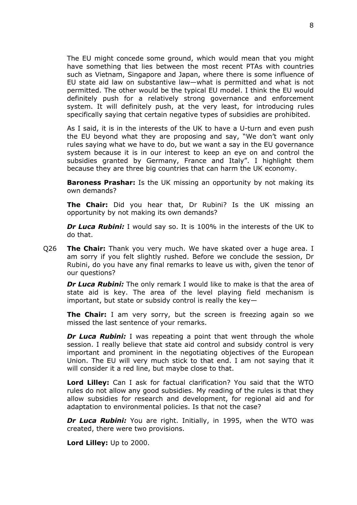The EU might concede some ground, which would mean that you might have something that lies between the most recent PTAs with countries such as Vietnam, Singapore and Japan, where there is some influence of EU state aid law on substantive law—what is permitted and what is not permitted. The other would be the typical EU model. I think the EU would definitely push for a relatively strong governance and enforcement system. It will definitely push, at the very least, for introducing rules specifically saying that certain negative types of subsidies are prohibited.

As I said, it is in the interests of the UK to have a U-turn and even push the EU beyond what they are proposing and say, "We don't want only rules saying what we have to do, but we want a say in the EU governance system because it is in our interest to keep an eye on and control the subsidies granted by Germany, France and Italy". I highlight them because they are three big countries that can harm the UK economy.

**Baroness Prashar:** Is the UK missing an opportunity by not making its own demands?

**The Chair:** Did you hear that, Dr Rubini? Is the UK missing an opportunity by not making its own demands?

*Dr Luca Rubini:* I would say so. It is 100% in the interests of the UK to do that.

Q26 **The Chair:** Thank you very much. We have skated over a huge area. I am sorry if you felt slightly rushed. Before we conclude the session, Dr Rubini, do you have any final remarks to leave us with, given the tenor of our questions?

*Dr Luca Rubini:* The only remark I would like to make is that the area of state aid is key. The area of the level playing field mechanism is important, but state or subsidy control is really the key—

**The Chair:** I am very sorry, but the screen is freezing again so we missed the last sentence of your remarks.

*Dr Luca Rubini:* I was repeating a point that went through the whole session. I really believe that state aid control and subsidy control is very important and prominent in the negotiating objectives of the European Union. The EU will very much stick to that end. I am not saying that it will consider it a red line, but maybe close to that.

**Lord Lilley:** Can I ask for factual clarification? You said that the WTO rules do not allow any good subsidies. My reading of the rules is that they allow subsidies for research and development, for regional aid and for adaptation to environmental policies. Is that not the case?

*Dr Luca Rubini:* You are right. Initially, in 1995, when the WTO was created, there were two provisions.

**Lord Lilley:** Up to 2000.